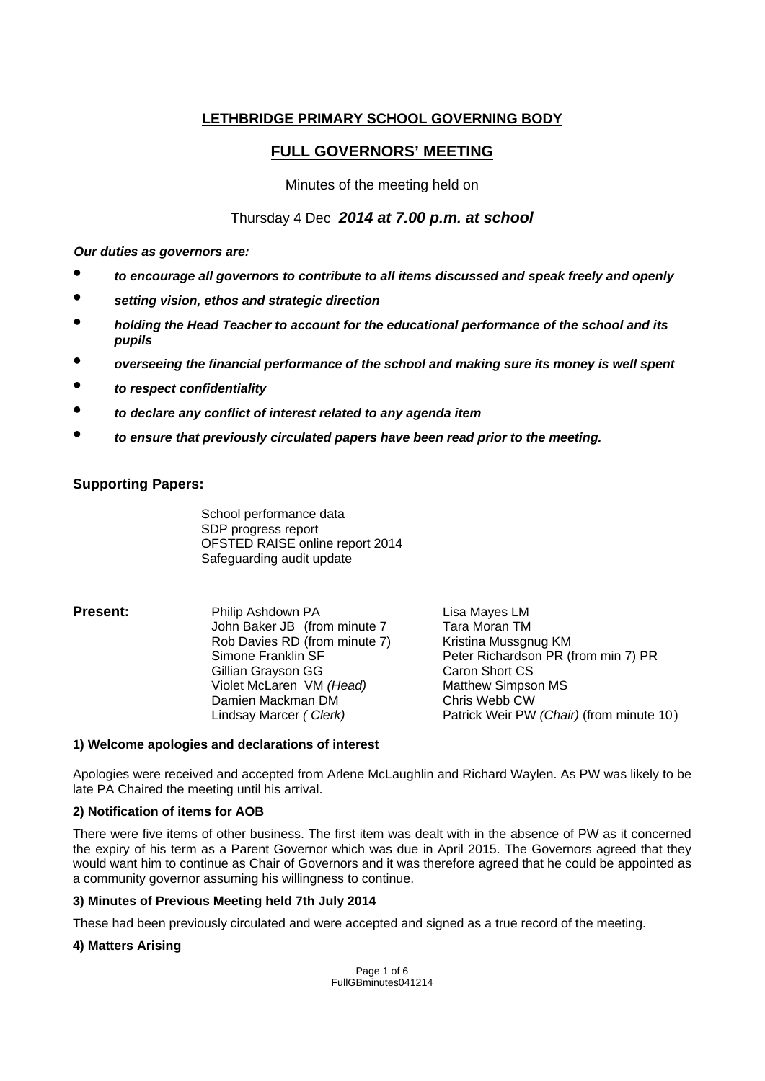# **LETHBRIDGE PRIMARY SCHOOL GOVERNING BODY**

# **FULL GOVERNORS' MEETING**

Minutes of the meeting held on

# Thursday 4 Dec *2014 at 7.00 p.m. at school*

*Our duties as governors are:* 

- *to encourage all governors to contribute to all items discussed and speak freely and openly*
- *setting vision, ethos and strategic direction*
- *holding the Head Teacher to account for the educational performance of the school and its pupils*
- *overseeing the financial performance of the school and making sure its money is well spent*
- *to respect confidentiality*
- *to declare any conflict of interest related to any agenda item*
- *to ensure that previously circulated papers have been read prior to the meeting.*

# **Supporting Papers:**

 School performance data SDP progress report OFSTED RAISE online report 2014 Safeguarding audit update

**Present:** Philip Ashdown PA Lisa Mayes LM John Baker JB (from minute 7 Tara Moran TM Rob Davies RD (from minute 7) Kristina Mussonug KM Simone Franklin SF Peter Richardson PR (from min 7) PR Gillian Grayson GG (Garon Short CS)<br>Colet McLaren VM (Head) Matthew Simpson MS Violet McLaren VM *(Head)* Damien Mackman DMChris Webb CW Lindsay Marcer *( Clerk)* Patrick Weir PW *(Chair)* (from minute 10 )

#### **1) Welcome apologies and declarations of interest**

Apologies were received and accepted from Arlene McLaughlin and Richard Waylen. As PW was likely to be late PA Chaired the meeting until his arrival.

# **2) Notification of items for AOB**

There were five items of other business. The first item was dealt with in the absence of PW as it concerned the expiry of his term as a Parent Governor which was due in April 2015. The Governors agreed that they would want him to continue as Chair of Governors and it was therefore agreed that he could be appointed as a community governor assuming his willingness to continue.

# **3) Minutes of Previous Meeting held 7th July 2014**

These had been previously circulated and were accepted and signed as a true record of the meeting.

# **4) Matters Arising**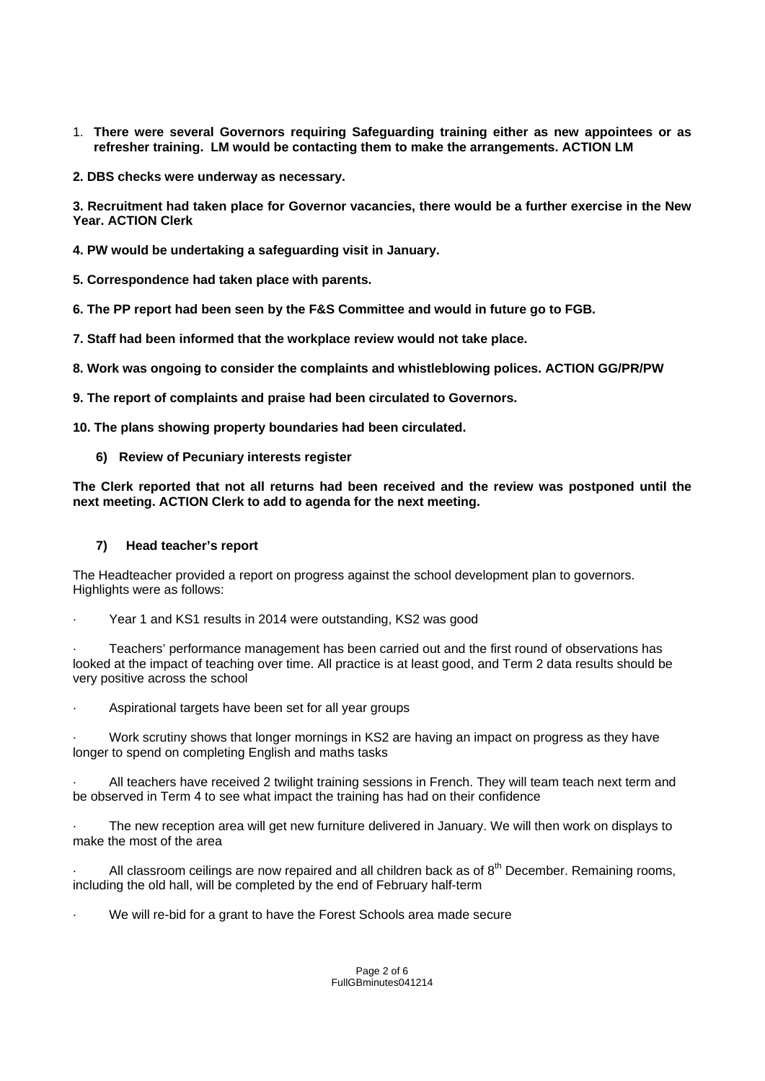- 1. **There were several Governors requiring Safeguarding training either as new appointees or as refresher training. LM would be contacting them to make the arrangements. ACTION LM**
- **2. DBS checks were underway as necessary.**

**3. Recruitment had taken place for Governor vacancies, there would be a further exercise in the New Year. ACTION Clerk** 

**4. PW would be undertaking a safeguarding visit in January.** 

**5. Correspondence had taken place with parents.** 

**6. The PP report had been seen by the F&S Committee and would in future go to FGB.** 

**7. Staff had been informed that the workplace review would not take place.** 

**8. Work was ongoing to consider the complaints and whistleblowing polices. ACTION GG/PR/PW** 

**9. The report of complaints and praise had been circulated to Governors.** 

**10. The plans showing property boundaries had been circulated.**

**6) Review of Pecuniary interests register** 

**The Clerk reported that not all returns had been received and the review was postponed until the next meeting. ACTION Clerk to add to agenda for the next meeting.** 

# **7) Head teacher's report**

The Headteacher provided a report on progress against the school development plan to governors. Highlights were as follows:

Year 1 and KS1 results in 2014 were outstanding, KS2 was good

· Teachers' performance management has been carried out and the first round of observations has looked at the impact of teaching over time. All practice is at least good, and Term 2 data results should be very positive across the school

Aspirational targets have been set for all year groups

· Work scrutiny shows that longer mornings in KS2 are having an impact on progress as they have longer to spend on completing English and maths tasks

All teachers have received 2 twilight training sessions in French. They will team teach next term and be observed in Term 4 to see what impact the training has had on their confidence

The new reception area will get new furniture delivered in January. We will then work on displays to make the most of the area

All classroom ceilings are now repaired and all children back as of  $8<sup>th</sup>$  December. Remaining rooms, including the old hall, will be completed by the end of February half-term

We will re-bid for a grant to have the Forest Schools area made secure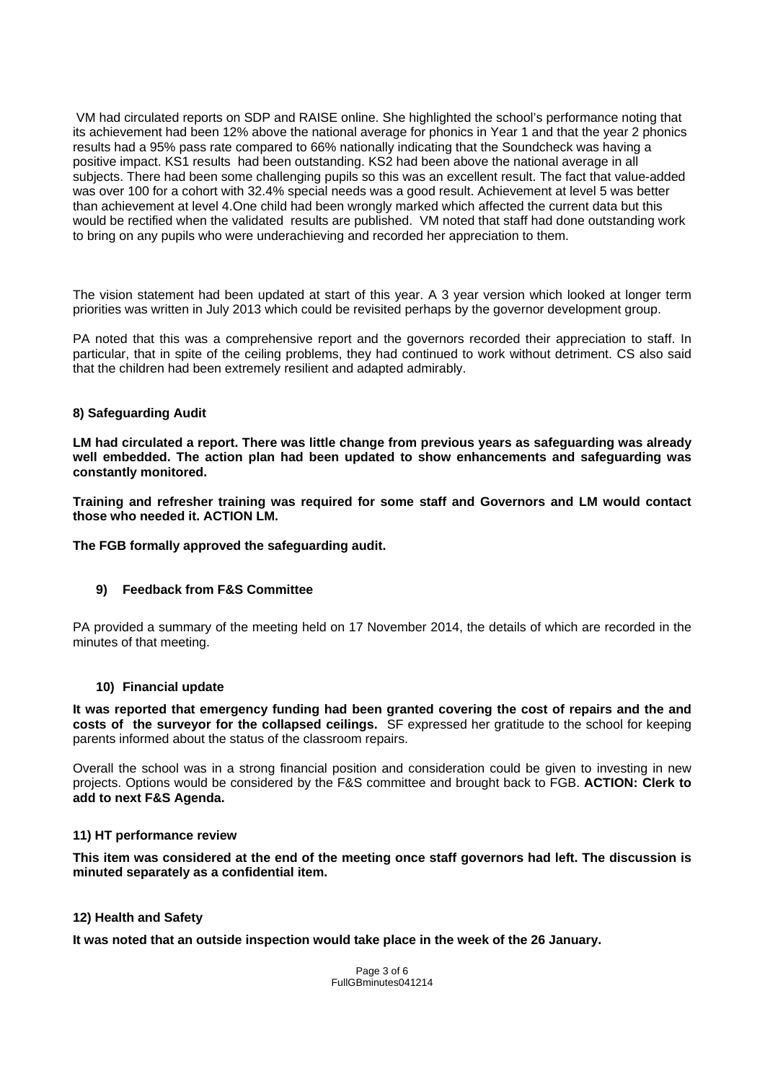VM had circulated reports on SDP and RAISE online. She highlighted the school's performance noting that its achievement had been 12% above the national average for phonics in Year 1 and that the year 2 phonics results had a 95% pass rate compared to 66% nationally indicating that the Soundcheck was having a positive impact. KS1 results had been outstanding. KS2 had been above the national average in all subjects. There had been some challenging pupils so this was an excellent result. The fact that value-added was over 100 for a cohort with 32.4% special needs was a good result. Achievement at level 5 was better than achievement at level 4.One child had been wrongly marked which affected the current data but this would be rectified when the validated results are published. VM noted that staff had done outstanding work to bring on any pupils who were underachieving and recorded her appreciation to them.

The vision statement had been updated at start of this year. A 3 year version which looked at longer term priorities was written in July 2013 which could be revisited perhaps by the governor development group.

PA noted that this was a comprehensive report and the governors recorded their appreciation to staff. In particular, that in spite of the ceiling problems, they had continued to work without detriment. CS also said that the children had been extremely resilient and adapted admirably.

# **8) Safeguarding Audit**

**LM had circulated a report. There was little change from previous years as safeguarding was already well embedded. The action plan had been updated to show enhancements and safeguarding was constantly monitored.** 

**Training and refresher training was required for some staff and Governors and LM would contact those who needed it. ACTION LM.** 

**The FGB formally approved the safeguarding audit.** 

#### **9) Feedback from F&S Committee**

PA provided a summary of the meeting held on 17 November 2014, the details of which are recorded in the minutes of that meeting.

#### **10) Financial update**

**It was reported that emergency funding had been granted covering the cost of repairs and the and costs of the surveyor for the collapsed ceilings.** SF expressed her gratitude to the school for keeping parents informed about the status of the classroom repairs.

Overall the school was in a strong financial position and consideration could be given to investing in new projects. Options would be considered by the F&S committee and brought back to FGB. **ACTION: Clerk to add to next F&S Agenda.**

#### **11) HT performance review**

**This item was considered at the end of the meeting once staff governors had left. The discussion is minuted separately as a confidential item.** 

#### **12) Health and Safety**

**It was noted that an outside inspection would take place in the week of the 26 January.** 

Page 3 of 6 FullGBminutes041214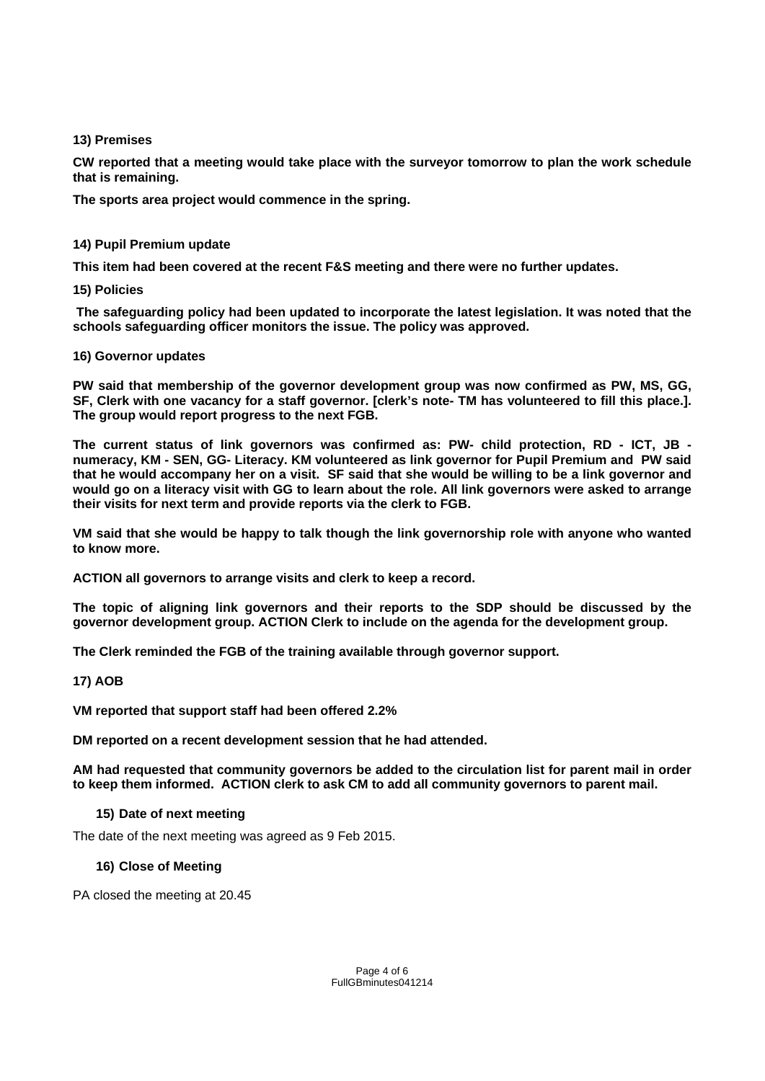# **13) Premises**

**CW reported that a meeting would take place with the surveyor tomorrow to plan the work schedule that is remaining.** 

**The sports area project would commence in the spring.** 

# **14) Pupil Premium update**

**This item had been covered at the recent F&S meeting and there were no further updates.** 

# **15) Policies**

 **The safeguarding policy had been updated to incorporate the latest legislation. It was noted that the schools safeguarding officer monitors the issue. The policy was approved.** 

# **16) Governor updates**

**PW said that membership of the governor development group was now confirmed as PW, MS, GG, SF, Clerk with one vacancy for a staff governor. [clerk's note- TM has volunteered to fill this place.]. The group would report progress to the next FGB.** 

**The current status of link governors was confirmed as: PW- child protection, RD - ICT, JB numeracy, KM - SEN, GG- Literacy. KM volunteered as link governor for Pupil Premium and PW said that he would accompany her on a visit. SF said that she would be willing to be a link governor and would go on a literacy visit with GG to learn about the role. All link governors were asked to arrange their visits for next term and provide reports via the clerk to FGB.** 

**VM said that she would be happy to talk though the link governorship role with anyone who wanted to know more.** 

**ACTION all governors to arrange visits and clerk to keep a record.** 

**The topic of aligning link governors and their reports to the SDP should be discussed by the governor development group. ACTION Clerk to include on the agenda for the development group.** 

**The Clerk reminded the FGB of the training available through governor support.** 

# **17) AOB**

**VM reported that support staff had been offered 2.2%** 

**DM reported on a recent development session that he had attended.** 

**AM had requested that community governors be added to the circulation list for parent mail in order to keep them informed. ACTION clerk to ask CM to add all community governors to parent mail.** 

# **15) Date of next meeting**

The date of the next meeting was agreed as 9 Feb 2015.

# **16) Close of Meeting**

PA closed the meeting at 20.45